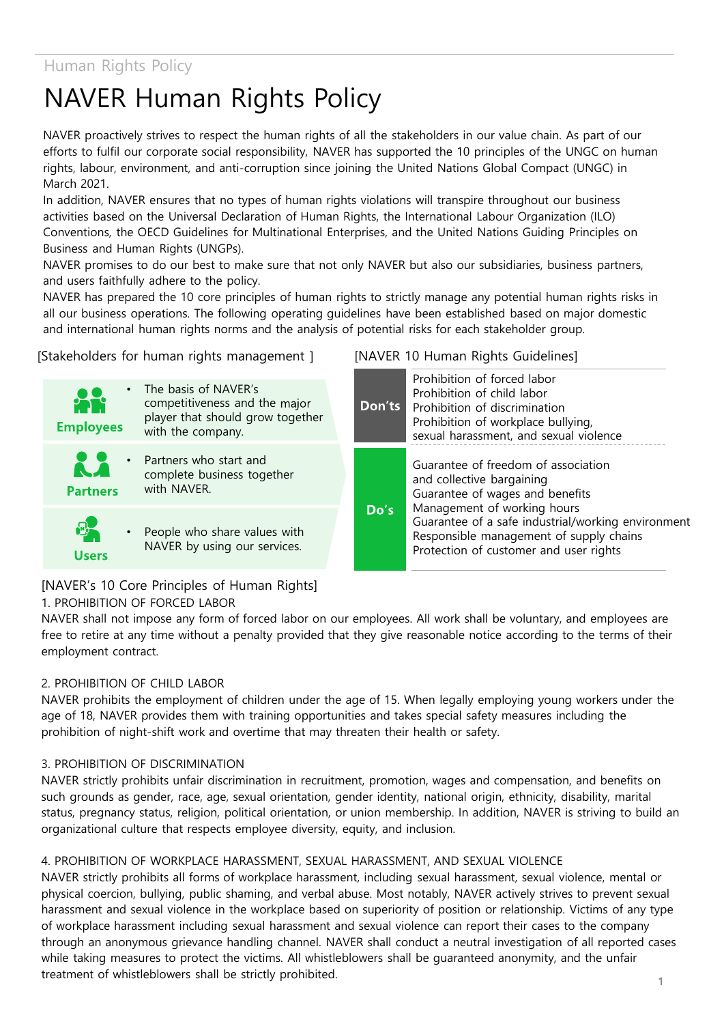# NAVER Human Rights Policy

NAVER proactively strives to respect the human rights of all the stakeholders in our value chain. As part of our efforts to fulfil our corporate social responsibility, NAVER has supported the 10 principles of the UNGC on human rights, labour, environment, and anti-corruption since joining the United Nations Global Compact (UNGC) in March 2021.

In addition, NAVER ensures that no types of human rights violations will transpire throughout our business activities based on the Universal Declaration of Human Rights, the International Labour Organization (ILO) Conventions, the OECD Guidelines for Multinational Enterprises, and the United Nations Guiding Principles on Business and Human Rights (UNGPs).

NAVER promises to do our best to make sure that not only NAVER but also our subsidiaries, business partners, and users faithfully adhere to the policy.

NAVER has prepared the 10 core principles of human rights to strictly manage any potential human rights risks in all our business operations. The following operating guidelines have been established based on major domestic and international human rights norms and the analysis of potential risks for each stakeholder group.

[Stakeholders for human rights management ]



#### [NAVER 10 Human Rights Guidelines]

| Don'ts | Prohibition of forced labor<br>Prohibition of child labor<br>Prohibition of discrimination<br>Prohibition of workplace bullying,<br>sexual harassment, and sexual violence                                                                                                    |
|--------|-------------------------------------------------------------------------------------------------------------------------------------------------------------------------------------------------------------------------------------------------------------------------------|
| Do's   | Guarantee of freedom of association<br>and collective bargaining<br>Guarantee of wages and benefits<br>Management of working hours<br>Guarantee of a safe industrial/working environment<br>Responsible management of supply chains<br>Protection of customer and user rights |

[NAVER's 10 Core Principles of Human Rights]

## 1. PROHIBITION OF FORCED LABOR

NAVER shall not impose any form of forced labor on our employees. All work shall be voluntary, and employees are free to retire at any time without a penalty provided that they give reasonable notice according to the terms of their employment contract.

#### 2. PROHIBITION OF CHILD LABOR

NAVER prohibits the employment of children under the age of 15. When legally employing young workers under the age of 18, NAVER provides them with training opportunities and takes special safety measures including the prohibition of night-shift work and overtime that may threaten their health or safety.

#### 3. PROHIBITION OF DISCRIMINATION

NAVER strictly prohibits unfair discrimination in recruitment, promotion, wages and compensation, and benefits on such grounds as gender, race, age, sexual orientation, gender identity, national origin, ethnicity, disability, marital status, pregnancy status, religion, political orientation, or union membership. In addition, NAVER is striving to build an organizational culture that respects employee diversity, equity, and inclusion.

#### 4. PROHIBITION OF WORKPLACE HARASSMENT, SEXUAL HARASSMENT, AND SEXUAL VIOLENCE

NAVER strictly prohibits all forms of workplace harassment, including sexual harassment, sexual violence, mental or physical coercion, bullying, public shaming, and verbal abuse. Most notably, NAVER actively strives to prevent sexual harassment and sexual violence in the workplace based on superiority of position or relationship. Victims of any type of workplace harassment including sexual harassment and sexual violence can report their cases to the company through an anonymous grievance handling channel. NAVER shall conduct a neutral investigation of all reported cases while taking measures to protect the victims. All whistleblowers shall be guaranteed anonymity, and the unfair treatment of whistleblowers shall be strictly prohibited. **<sup>1</sup>**